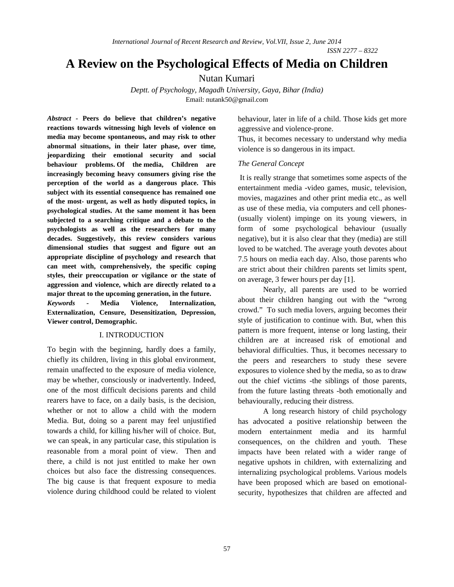*ISSN 2277 – 8322*

# **A Review on the Psychological Effects of Media on Children**

# Nutan Kumari

*Deptt. of Psychology, Magadh University, Gaya, Bihar (India)* Email: nutank50@gmail.com

*Abstract -* **Peers do believe that children's negative reactions towards witnessing high levels of violence on media may become spontaneous, and may risk to other abnormal situations, in their later phase, over time, jeopardizing their emotional security and social behaviour problems. Of the media, Children are increasingly becoming heavy consumers giving rise the perception of the world as a dangerous place. This subject with its essential consequence has remained one of the most- urgent, as well as hotly disputed topics, in psychological studies. At the same moment it has been subjected to a searching critique and a debate to the psychologists as well as the researchers for many decades. Suggestively, this review considers various dimensional studies that suggest and figure out an appropriate discipline of psychology and research that can meet with, comprehensively, the specific coping styles, their preoccupation or vigilance or the state of aggression and violence, which are directly related to a major threat to the upcoming generation, in the future.** *Keywords -* **Media Violence, Internalization, Externalization, Censure, Desensitization, Depression, Viewer control, Demographic.**

#### I. INTRODUCTION

To begin with the beginning, hardly does a family, chiefly its children, living in this global environment, remain unaffected to the exposure of media violence, may be whether, consciously or inadvertently. Indeed, one of the most difficult decisions parents and child rearers have to face, on a daily basis, is the decision, whether or not to allow a child with the modern Media. But, doing so a parent may feel unjustified towards a child, for killing his/her will of choice. But, we can speak, in any particular case, this stipulation is reasonable from a moral point of view. Then and there, a child is not just entitled to make her own choices but also face the distressing consequences. The big cause is that frequent exposure to media violence during childhood could be related to violent behaviour, later in life of a child. Those kids get more aggressive and violence-prone.

Thus, it becomes necessary to understand why media violence is so dangerous in its impact.

### *The General Concept*

It is really strange that sometimes some aspects of the entertainment media -video games, music, television, movies, magazines and other print media etc., as well as use of these media, via computers and cell phones- (usually violent) impinge on its young viewers, in form of some psychological behaviour (usually negative), but it is also clear that they (media) are still loved to be watched. The average youth devotes about 7.5 hours on media each day. Also, those parents who are strict about their children parents set limits spent, on average, 3 fewer hours per day [1].

Nearly, all parents are used to be worried about their children hanging out with the "wrong crowd." To such media lovers, arguing becomes their style of justification to continue with. But, when this pattern is more frequent, intense or long lasting, their children are at increased risk of emotional and behavioral difficulties. Thus, it becomes necessary to the peers and researchers to study these severe exposures to violence shed by the media, so as to draw out the chief victims -the siblings of those parents, from the future lasting threats -both emotionally and behaviourally, reducing their distress.

A long research history of child psychology has advocated a positive relationship between the modern entertainment media and its harmful consequences, on the children and youth. These impacts have been related with a wider range of negative upshots in children, with externalizing and internalizing psychological problems. Various models have been proposed which are based on emotionalsecurity, hypothesizes that children are affected and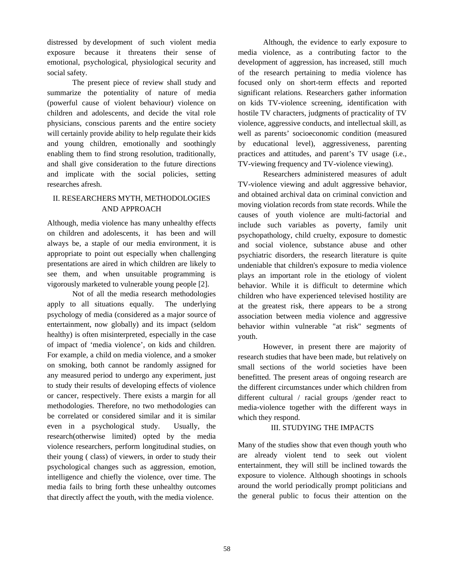distressed by development of such violent media exposure because it threatens their sense of emotional, psychological, physiological security and social safety.

The present piece of review shall study and summarize the potentiality of nature of media (powerful cause of violent behaviour) violence on children and adolescents, and decide the vital role physicians, conscious parents and the entire society will certainly provide ability to help regulate their kids and young children, emotionally and soothingly enabling them to find strong resolution, traditionally, and shall give consideration to the future directions and implicate with the social policies, setting researches afresh.

## II. RESEARCHERS MYTH, METHODOLOGIES AND APPROACH

Although, media violence has many unhealthy effects on children and adolescents, it has been and will always be, a staple of our media environment, it is appropriate to point out especially when challenging presentations are aired in which children are likely to see them, and when unsuitable programming is vigorously marketed to vulnerable young people [2].

Not of all the media research methodologies apply to all situations equally. The underlying psychology of media (considered as a major source of entertainment, now globally) and its impact (seldom healthy) is often misinterpreted, especially in the case of impact of 'media violence', on kids and children. For example, a child on media violence, and a smoker on smoking, both cannot be randomly assigned for any measured period to undergo any experiment, just to study their results of developing effects of violence or cancer, respectively. There exists a margin for all methodologies. Therefore, no two methodologies can be correlated or considered similar and it is similar even in a psychological study. Usually, the research(otherwise limited) opted by the media violence researchers, perform longitudinal studies, on their young ( class) of viewers, in order to study their psychological changes such as aggression, emotion, intelligence and chiefly the violence, over time. The media fails to bring forth these unhealthy outcomes that directly affect the youth, with the media violence.

Although, the evidence to early exposure to media violence, as a contributing factor to the development of aggression, has increased, still much of the research pertaining to media violence has focused only on short-term effects and reported significant relations. Researchers gather information on kids TV-violence screening, identification with hostile TV characters, judgments of practicality of TV violence, aggressive conducts, and intellectual skill, as well as parents' socioeconomic condition (measured by educational level), aggressiveness, parenting practices and attitudes, and parent's TV usage (i.e., TV-viewing frequency and TV-violence viewing).

Researchers administered measures of adult TV-violence viewing and adult aggressive behavior, and obtained archival data on criminal conviction and moving violation records from state records. While the causes of youth violence are multi-factorial and include such variables as poverty, family unit psychopathology, child cruelty, exposure to domestic and social violence, substance abuse and other psychiatric disorders, the research literature is quite undeniable that children's exposure to media violence plays an important role in the etiology of violent behavior. While it is difficult to determine which children who have experienced televised hostility are at the greatest risk, there appears to be a strong association between media violence and aggressive behavior within vulnerable "at risk" segments of youth.

However, in present there are majority of research studies that have been made, but relatively on small sections of the world societies have been benefitted. The present areas of ongoing research are the different circumstances under which children from different cultural / racial groups /gender react to media-violence together with the different ways in which they respond.

### III. STUDYING THE IMPACTS

Many of the studies show that even though youth who are already violent tend to seek out violent entertainment, they will still be inclined towards the exposure to violence. Although shootings in schools around the world periodically prompt politicians and the general public to focus their attention on the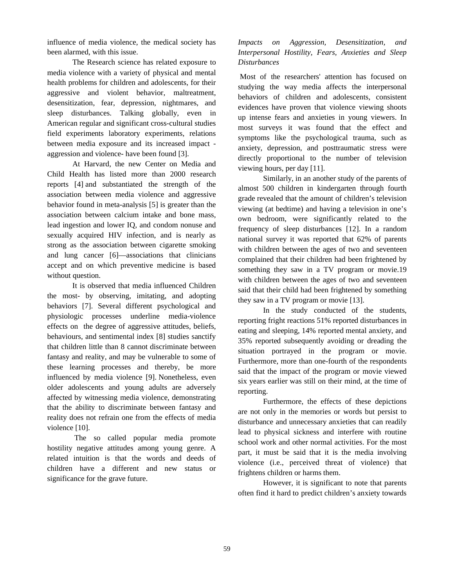influence of media violence, the medical society has been alarmed, with this issue.

The Research science has related exposure to media violence with a variety of physical and mental health problems for children and adolescents, for their aggressive and violent behavior, maltreatment, desensitization, fear, depression, nightmares, and sleep disturbances. Talking globally, even in American regular and significant cross-cultural studies field experiments laboratory experiments, relations between media exposure and its increased impact aggression and violence- have been found [3].

At Harvard, the new Center on Media and Child Health has listed more than 2000 research reports [4] and substantiated the strength of the association between media violence and aggressive behavior found in meta-analysis [5] is greater than the association between calcium intake and bone mass, lead ingestion and lower IQ, and condom nonuse and sexually acquired HIV infection, and is nearly as strong as the association between cigarette smoking and lung cancer [6]—associations that clinicians accept and on which preventive medicine is based without question.

It is observed that media influenced Children the most- by observing, imitating, and adopting behaviors [7]. Several different psychological and physiologic processes underline media-violence effects on the degree of aggressive attitudes, beliefs, behaviours, and sentimental index [8] studies sanctify that children little than 8 cannot discriminate between fantasy and reality, and may be vulnerable to some of these learning processes and thereby, be more influenced by media violence [9]. Nonetheless, even older adolescents and young adults are adversely affected by witnessing media violence, demonstrating that the ability to discriminate between fantasy and reality does not refrain one from the effects of media violence [10].

The so called popular media promote hostility negative attitudes among young genre. A related intuition is that the words and deeds of children have a different and new status or significance for the grave future.

# *Impacts on Aggression, Desensitization, and Interpersonal Hostility, Fears, Anxieties and Sleep Disturbances*

Most of the researchers' attention has focused on studying the way media affects the interpersonal behaviors of children and adolescents, consistent evidences have proven that violence viewing shoots up intense fears and anxieties in young viewers. In most surveys it was found that the effect and symptoms like the psychological trauma, such as anxiety, depression, and posttraumatic stress were directly proportional to the number of television viewing hours, per day [11].

Similarly, in an another study of the parents of almost 500 children in kindergarten through fourth grade revealed that the amount of children's television viewing (at bedtime) and having a television in one's own bedroom, were significantly related to the frequency of sleep disturbances [12]. In a random national survey it was reported that 62% of parents with children between the ages of two and seventeen complained that their children had been frightened by something they saw in a TV program or movie.19 with children between the ages of two and seventeen said that their child had been frightened by something they saw in a TV program or movie [13].

In the study conducted of the students, reporting fright reactions 51% reported disturbances in eating and sleeping, 14% reported mental anxiety, and 35% reported subsequently avoiding or dreading the situation portrayed in the program or movie. Furthermore, more than one-fourth of the respondents said that the impact of the program or movie viewed six years earlier was still on their mind, at the time of reporting.

Furthermore, the effects of these depictions are not only in the memories or words but persist to disturbance and unnecessary anxieties that can readily lead to physical sickness and interfere with routine school work and other normal activities. For the most part, it must be said that it is the media involving violence (i.e., perceived threat of violence) that frightens children or harms them.

However, it is significant to note that parents often find it hard to predict children's anxiety towards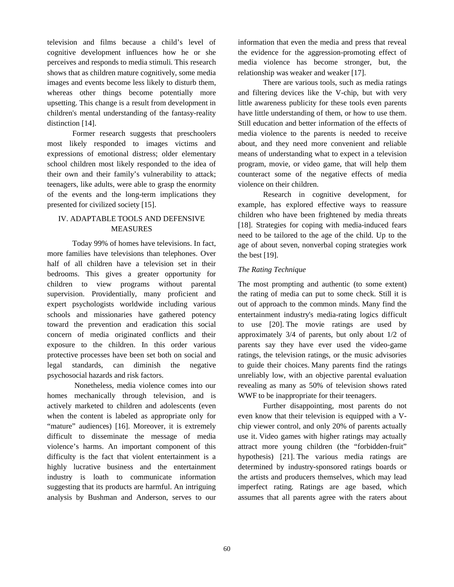television and films because a child's level of cognitive development influences how he or she perceives and responds to media stimuli. This research shows that as children mature cognitively, some media images and events become less likely to disturb them, whereas other things become potentially more upsetting. This change is a result from development in children's mental understanding of the fantasy-reality distinction [14].

Former research suggests that preschoolers most likely responded to images victims and expressions of emotional distress; older elementary school children most likely responded to the idea of their own and their family's vulnerability to attack; teenagers, like adults, were able to grasp the enormity of the events and the long-term implications they presented for civilized society [15].

# IV. ADAPTABLE TOOLS AND DEFENSIVE MEASURES

Today 99% of homes have televisions. In fact, more families have televisions than telephones. Over half of all children have a television set in their bedrooms. This gives a greater opportunity for children to view programs without parental supervision. Providentially, many proficient and expert psychologists worldwide including various schools and missionaries have gathered potency toward the prevention and eradication this social concern of media originated conflicts and their exposure to the children. In this order various protective processes have been set both on social and legal standards, can diminish the negative psychosocial hazards and risk factors.

Nonetheless, media violence comes into our homes mechanically through television, and is actively marketed to children and adolescents (even when the content is labeled as appropriate only for "mature" audiences) [16]. Moreover, it is extremely difficult to disseminate the message of media violence's harms. An important component of this difficulty is the fact that violent entertainment is a highly lucrative business and the entertainment industry is loath to communicate information suggesting that its products are harmful. An intriguing analysis by Bushman and Anderson, serves to our information that even the media and press that reveal the evidence for the aggression-promoting effect of media violence has become stronger, but, the relationship was weaker and weaker [17].

There are various tools, such as media ratings and filtering devices like the V-chip, but with very little awareness publicity for these tools even parents have little understanding of them, or how to use them. Still education and better information of the effects of media violence to the parents is needed to receive about, and they need more convenient and reliable means of understanding what to expect in a television program, movie, or video game, that will help them counteract some of the negative effects of media violence on their children.

Research in cognitive development, for example, has explored effective ways to reassure children who have been frightened by media threats [18]. Strategies for coping with media-induced fears need to be tailored to the age of the child. Up to the age of about seven, nonverbal coping strategies work the best [19].

### *The Rating Technique*

The most prompting and authentic (to some extent) the rating of media can put to some check. Still it is out of approach to the common minds. Many find the entertainment industry's media-rating logics difficult to use [20]. The movie ratings are used by approximately 3/4 of parents, but only about 1/2 of parents say they have ever used the video-game ratings, the television ratings, or the music advisories to guide their choices. Many parents find the ratings unreliably low, with an objective parental evaluation revealing as many as 50% of television shows rated WWF to be inappropriate for their teenagers.

Further disappointing, most parents do not even know that their television is equipped with a Vchip viewer control, and only 20% of parents actually use it. Video games with higher ratings may actually attract more young children (the "forbidden-fruit" hypothesis) [21]. The various media ratings are determined by industry-sponsored ratings boards or the artists and producers themselves, which may lead imperfect rating. Ratings are age based, which assumes that all parents agree with the raters about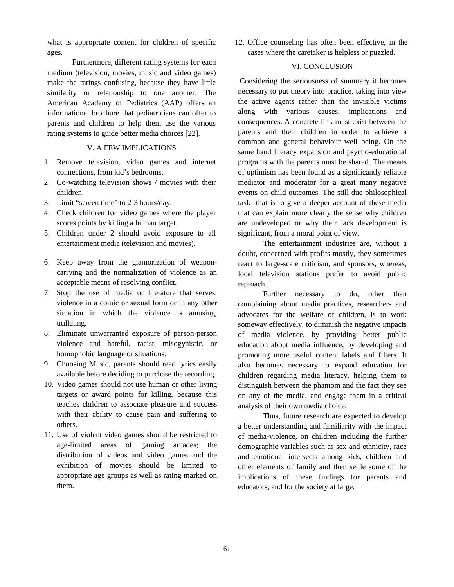what is appropriate content for children of specific ages.

Furthermore, different rating systems for each medium (television, movies, music and video games) make the ratings confusing, because they have little similarity or relationship to one another. The American Academy of Pediatrics (AAP) offers an informational brochure that pediatricians can offer to parents and children to help them use the various rating systems to guide better media choices [22].

## V. A FEW IMPLICATIONS

- 1. Remove television, video games and internet connections, from kid's bedrooms.
- 2. Co-watching television shows / movies with their children.
- 3. Limit "screen time" to 2-3 hours/day.
- 4. Check children for video games where the player scores points by killing a human target.
- 5. Children under 2 should avoid exposure to all entertainment media (television and movies).
- 6. Keep away from the glamorization of weaponcarrying and the normalization of violence as an acceptable means of resolving conflict.
- 7. Stop the use of media or literature that serves, violence in a comic or sexual form or in any other situation in which the violence is amusing, titillating.
- 8. Eliminate unwarranted exposure of person-person violence and hateful, racist, misogynistic, or homophobic language or situations.
- 9. Choosing Music, parents should read lyrics easily available before deciding to purchase the recording.
- 10. Video games should not use human or other living targets or award points for killing, because this teaches children to associate pleasure and success with their ability to cause pain and suffering to others.
- 11. Use of violent video games should be restricted to age-limited areas of gaming arcades; the distribution of videos and video games and the exhibition of movies should be limited to appropriate age groups as well as rating marked on them.

12. Office counseling has often been effective, in the cases where the caretaker is helpless or puzzled.

### VI. CONCLUSION

Considering the seriousness of summary it becomes necessary to put theory into practice, taking into view the active agents rather than the invisible victims along with various causes, implications and consequences. A concrete link must exist between the parents and their children in order to achieve a common and general behaviour well being. On the same hand literacy expansion and psycho-educational programs with the parents must be shared. The means of optimism has been found as a significantly reliable mediator and moderator for a great many negative events on child outcomes. The still due philosophical task -that is to give a deeper account of these media that can explain more clearly the sense why children are undeveloped or why their lack development is significant, from a moral point of view.

The entertainment industries are, without a doubt, concerned with profits mostly, they sometimes react to large-scale criticism, and sponsors, whereas, local television stations prefer to avoid public reproach.

Further necessary to do, other than complaining about media practices, researchers and advocates for the welfare of children, is to work someway effectively, to diminish the negative impacts of media violence, by providing better public education about media influence, by developing and promoting more useful content labels and filters. It also becomes necessary to expand education for children regarding media literacy, helping them to distinguish between the phantom and the fact they see on any of the media, and engage them in a critical analysis of their own media choice.

Thus, future research are expected to develop a better understanding and familiarity with the impact of media-violence, on children including the further demographic variables such as sex and ethnicity, race and emotional intersects among kids, children and other elements of family and then settle some of the implications of these findings for parents and educators, and for the society at large.